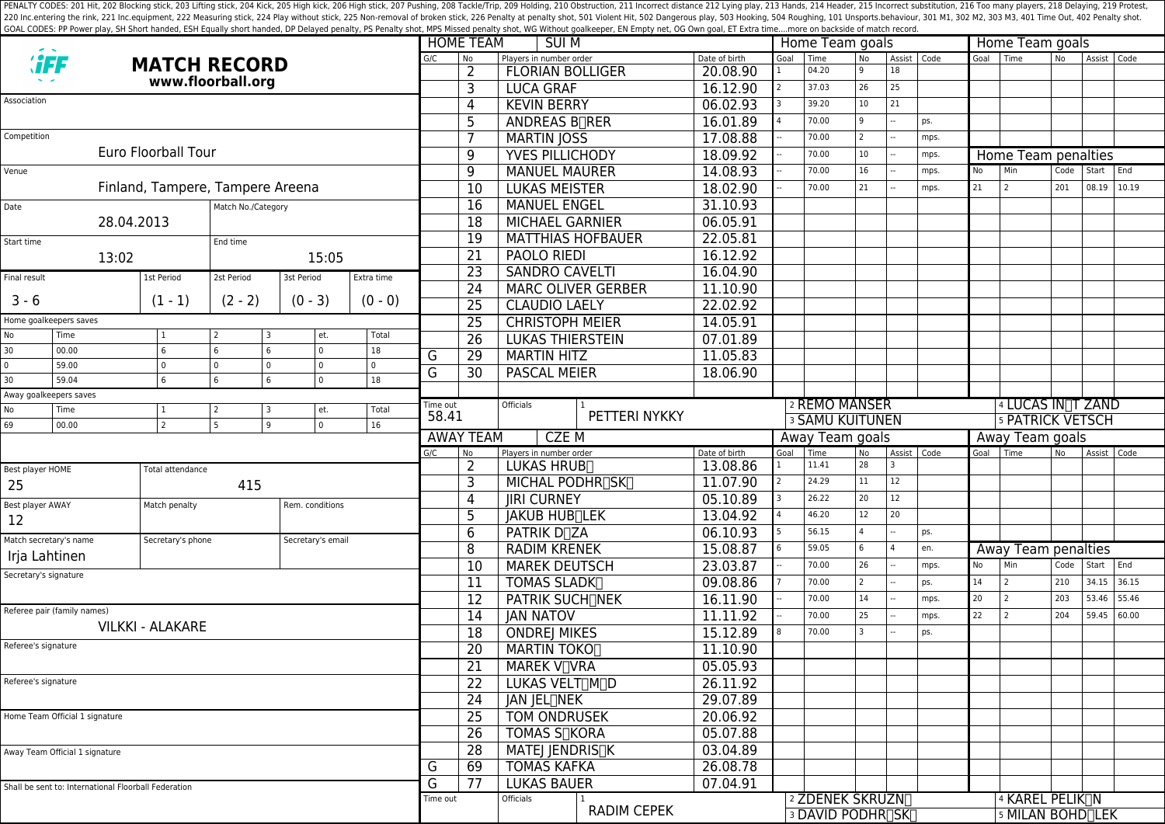PENALTY CODES: 201 Hit, 202 Blocking stick, 203 Lifting stick, 204 Kick, 204 Kick, 205 High kick, 204 Kick, 205 High kick, 206 High stick, 206 High stick, 206 High stick, 206 High stick, 207 Pushing, 208 Tackle/Trip, 209 H 220 Inc.entering the rink, 221 Inc.equipment, 222 Measuring stick, 224 Play without stick, 225 Non-removal of broken stick, 225 Poralty shot, 501 Violent Hit, 502 Dangerous play, 503 Hooking, 504 Roughing, 101 Unsports.beh GOAL CODES: PP Power play, SH Short handed, ESH Equally short handed, DP Delayed penalty, PS Penalty shot, MPS Missed penalty shot, WG Without goalkeeper, EN Empty net, OG Own goal, ET Extra time....more on backside of mat

|                                                      |                                                      |                          |                           |                          |                         |                    | <b>HOME TEAM</b><br><b>SUIM</b> |                                 |                       |                        | Home Team goals                              |                |                                |                |        | Home Team goals                                               |           |             |       |  |
|------------------------------------------------------|------------------------------------------------------|--------------------------|---------------------------|--------------------------|-------------------------|--------------------|---------------------------------|---------------------------------|-----------------------|------------------------|----------------------------------------------|----------------|--------------------------------|----------------|--------|---------------------------------------------------------------|-----------|-------------|-------|--|
| <b><i>``FF</i></b><br><b>MATCH RECORD</b>            |                                                      |                          | G/C                       | No                       | Players in number order | Date of birth      | Goal                            | Time                            | <b>No</b>             | Assist Code            |                                              | Goal Time      |                                | N <sub>o</sub> | Assist | Code                                                          |           |             |       |  |
| www.floorball.org                                    |                                                      |                          |                           |                          |                         |                    | $\overline{2}$                  | <b>FLORIAN BOLLIGER</b>         | $\overline{20.08.90}$ |                        | 04.20                                        | q              | 18                             |                |        |                                                               |           |             |       |  |
|                                                      |                                                      |                          |                           |                          |                         |                    | 3                               | <b>LUCA GRAF</b>                | 16.12.90              |                        | 37.03                                        | 26             | 25                             |                |        |                                                               |           |             |       |  |
| Association                                          |                                                      |                          |                           |                          |                         |                    | 4                               | <b>KEVIN BERRY</b>              | 06.02.93              |                        | 39.20                                        | 10             | 21                             |                |        |                                                               |           |             |       |  |
|                                                      |                                                      |                          |                           |                          |                         |                    | 5                               | ANDREAS B <sub>RER</sub>        | 16.01.89              |                        | 70.00                                        | q              |                                | ps.            |        |                                                               |           |             |       |  |
| Competition                                          |                                                      |                          |                           |                          |                         |                    | $\overline{7}$                  | <b>MARTIN JOSS</b>              | 17.08.88              |                        | 70.00                                        | 2              |                                | mps.           |        |                                                               |           |             |       |  |
|                                                      |                                                      | Euro Floorball Tour      |                           |                          |                         |                    | 9                               | <b>YVES PILLICHODY</b>          | 18.09.92              |                        | 70.00                                        | 10             |                                | mps.           |        | Home Team penalties                                           |           |             |       |  |
| Venue                                                |                                                      |                          |                           |                          |                         |                    | 9                               | <b>MANUEL MAURER</b>            | 14.08.93              |                        | 70.00                                        | 16             |                                | mps.           | No     | Min                                                           | Code      | Start End   |       |  |
| Finland, Tampere, Tampere Areena                     |                                                      |                          |                           |                          |                         |                    | $\overline{10}$                 | <b>LUKAS MEISTER</b>            | 18.02.90              |                        | 70.00                                        | 21             |                                | mps.           | 21     | 2                                                             | 201       | 08.19 10.19 |       |  |
| Match No./Category<br>Date                           |                                                      |                          |                           |                          |                         |                    | 16                              | <b>MANUEL ENGEL</b>             | 31.10.93              |                        |                                              |                |                                |                |        |                                                               |           |             |       |  |
| 28.04.2013                                           |                                                      |                          |                           |                          |                         | 18                 | <b>MICHAEL GARNIER</b>          | 06.05.91                        |                       |                        |                                              |                |                                |                |        |                                                               |           |             |       |  |
| Start time                                           |                                                      |                          | End time                  |                          |                         |                    | 19                              | <b>MATTHIAS HOFBAUER</b>        | 22.05.81              |                        |                                              |                |                                |                |        |                                                               |           |             |       |  |
| 13:02<br>15:05                                       |                                                      |                          |                           |                          | 21                      | <b>PAOLO RIEDI</b> | 16.12.92                        |                                 |                       |                        |                                              |                |                                |                |        |                                                               |           |             |       |  |
| Final result                                         |                                                      | 1st Period<br>2st Period |                           | 3st Period               | Extra time              |                    | 23                              | <b>SANDRO CAVELTI</b>           | 16.04.90              |                        |                                              |                |                                |                |        |                                                               |           |             |       |  |
|                                                      |                                                      |                          |                           |                          |                         |                    | 24                              | <b>MARC OLIVER GERBER</b>       | 11.10.90              |                        |                                              |                |                                |                |        |                                                               |           |             |       |  |
| $3 - 6$                                              |                                                      | $(1 - 1)$                | $(2 - 2)$                 | $(0 - 3)$                | $(0 - 0)$               |                    | 25                              | <b>CLAUDIO LAELY</b>            | 22.02.92              |                        |                                              |                |                                |                |        |                                                               |           |             |       |  |
| Home goalkeepers saves                               |                                                      |                          |                           |                          |                         | 25                 | <b>CHRISTOPH MEIER</b>          | 14.05.91                        |                       |                        |                                              |                |                                |                |        |                                                               |           |             |       |  |
| No                                                   | Time                                                 |                          | l 2                       | et.                      | Total                   |                    | $\overline{26}$                 | <b>LUKAS THIERSTEIN</b>         | 07.01.89              |                        |                                              |                |                                |                |        |                                                               |           |             |       |  |
| 30                                                   | 00.00                                                | 6                        | 6<br>6                    | $\mathbf{0}$             | 18                      | G                  | 29                              | <b>MARTIN HITZ</b>              | 11.05.83              |                        |                                              |                |                                |                |        |                                                               |           |             |       |  |
| $\pmb{0}$<br>30                                      | 59.00<br>59.04                                       | 6                        | l o<br>$\Omega$<br>6<br>6 | $\Omega$<br>$\mathbf{0}$ | 18                      | G                  | 30                              | <b>PASCAL MEIER</b>             | 18.06.90              |                        |                                              |                |                                |                |        |                                                               |           |             |       |  |
|                                                      |                                                      |                          |                           |                          |                         |                    |                                 |                                 |                       |                        |                                              |                |                                |                |        |                                                               |           |             |       |  |
| Away goalkeepers saves<br>No<br>Time<br>Total<br>et. |                                                      |                          |                           | Time out                 |                         | Officials          |                                 |                                 | 2 REMO MANSER         |                        |                                              |                | 4 LUCAS IN <sub>T</sub> T ZAND |                |        |                                                               |           |             |       |  |
| 69                                                   | 00.00                                                | $\mathcal{P}$            | 5<br>$\mathsf q$          | $\mathbf{0}$             | 16                      | 58.41              |                                 | PETTERI NYKKY                   |                       | <b>3 SAMU KUITUNEN</b> |                                              |                |                                |                |        | 5 PATRICK VETSCH                                              |           |             |       |  |
|                                                      |                                                      |                          |                           |                          |                         |                    | <b>AWAY TEAM</b>                | <b>CZEM</b>                     |                       |                        | Away Team goals                              |                |                                |                |        | Away Team goals                                               |           |             |       |  |
|                                                      |                                                      |                          |                           |                          |                         | G/C                | N <sub>o</sub>                  | Players in number order         | Date of birth         | Goal                   | Time                                         | No             | Assist Code                    |                | Goal   | l Time                                                        | <b>No</b> | Assist      | Code  |  |
| Best player HOME                                     |                                                      | Total attendance         |                           |                          |                         |                    | $\overline{2}$                  | LUKAS HRUB <sub>I</sub>         | 13.08.86              |                        | 11.41                                        | 28             |                                |                |        |                                                               |           |             |       |  |
| 25                                                   |                                                      |                          | 415                       |                          |                         |                    | 3                               | MICHAL PODHR <sub>ISKI</sub>    | 11.07.90              |                        | 24.29                                        | 11             | 12                             |                |        |                                                               |           |             |       |  |
| Best player AWAY                                     |                                                      | Match penalty            |                           |                          | Rem. conditions         |                    | 4                               | <b>JIRI CURNEY</b>              | 05.10.89              |                        | 26.22                                        | 20             | 12                             |                |        |                                                               |           |             |       |  |
| 12                                                   |                                                      |                          |                           |                          |                         |                    | 5                               | JAKUB HUB <sub>LEK</sub>        | 13.04.92              |                        | 46.20                                        | 12             | 20                             |                |        |                                                               |           |             |       |  |
|                                                      | Match secretary's name                               | Secretary's phone        |                           | Secretary's email        |                         |                    | 6                               | <b>PATRIK D<sub>R</sub>ZA</b>   | 06.10.93              |                        | 56.15                                        |                |                                | ps.            |        |                                                               |           |             |       |  |
| Irja Lahtinen                                        |                                                      |                          |                           |                          |                         |                    | 8                               | <b>RADIM KRENEK</b>             | 15.08.87              |                        | 59.05                                        | 6              |                                | en.            |        | Away Team penalties                                           |           |             |       |  |
| Secretary's signature                                |                                                      |                          |                           |                          |                         | 10                 | <b>MAREK DEUTSCH</b>            | 23.03.87                        |                       | 70.00                  | 26                                           |                | mps.                           | No             | Min    | Code                                                          | Start     | End         |       |  |
|                                                      |                                                      |                          |                           |                          |                         |                    | 11                              | <b>TOMAS SLADK</b>              | 09.08.86              |                        | 70.00                                        | $\overline{2}$ |                                | ps.            | 14     | 2                                                             | 210       | 34.15       | 36.15 |  |
|                                                      |                                                      |                          |                           |                          |                         |                    |                                 |                                 |                       |                        | 70.00                                        | 14             |                                | mps.           | 20     | $\overline{2}$                                                | 203       | 53.46       | 55.46 |  |
| <b>VILKKI - ALAKARE</b>                              |                                                      |                          |                           |                          |                         |                    | 12                              | <b>PATRIK SUCHTNEK</b>          | 16.11.90              |                        |                                              |                |                                |                |        |                                                               |           |             | 60.00 |  |
|                                                      | Referee pair (family names)                          |                          |                           |                          |                         |                    | 14                              | <b>JAN NATOV</b>                | 11.11.92              |                        | 70.00                                        | 25             |                                | mps.           | 22     | 2                                                             | 204       | 59.45       |       |  |
|                                                      |                                                      |                          |                           |                          |                         |                    | 18                              | <b>ONDREJ MIKES</b>             | 15.12.89              |                        | 70.00                                        |                |                                | ps.            |        |                                                               |           |             |       |  |
| Referee's signature                                  |                                                      |                          |                           |                          |                         |                    | 20                              | <b>MARTIN TOKO</b>              | 11.10.90              |                        |                                              |                |                                |                |        |                                                               |           |             |       |  |
|                                                      |                                                      |                          |                           |                          |                         |                    | 21                              | MAREK V <sub>IVRA</sub>         | 05.05.93              |                        |                                              |                |                                |                |        |                                                               |           |             |       |  |
| Referee's signature                                  |                                                      |                          |                           |                          |                         |                    | 22                              | LUKAS VELT∏M∏D                  | 26.11.92              |                        |                                              |                |                                |                |        |                                                               |           |             |       |  |
|                                                      |                                                      |                          |                           |                          |                         |                    | 24                              | JAN JEL <sub>I</sub> NEK        | 29.07.89              |                        |                                              |                |                                |                |        |                                                               |           |             |       |  |
|                                                      | Home Team Official 1 signature                       |                          |                           |                          |                         |                    | 25                              | <b>TOM ONDRUSEK</b>             | 20.06.92              |                        |                                              |                |                                |                |        |                                                               |           |             |       |  |
|                                                      |                                                      |                          |                           |                          |                         |                    | $\overline{26}$                 | <b>TOMAS S<sub>I</sub>KORA</b>  | 05.07.88              |                        |                                              |                |                                |                |        |                                                               |           |             |       |  |
|                                                      | Away Team Official 1 signature                       |                          |                           |                          |                         |                    | $\overline{28}$                 | MATEJ JENDRIS <sub>IK</sub>     | 03.04.89              |                        |                                              |                |                                |                |        |                                                               |           |             |       |  |
|                                                      |                                                      |                          |                           |                          |                         | G                  | 69                              | <b>TOMAS KAFKA</b>              | 26.08.78              |                        |                                              |                |                                |                |        |                                                               |           |             |       |  |
|                                                      | Shall be sent to: International Floorball Federation |                          |                           |                          |                         | G                  | 77                              | <b>LUKAS BAUER</b>              | 07.04.91              |                        |                                              |                |                                |                |        |                                                               |           |             |       |  |
|                                                      |                                                      |                          |                           |                          |                         | Time out           |                                 | Officials<br><b>RADIM CEPEK</b> |                       |                        | 2 ZDENEK SKRUZN∏<br><b>3 DAVID PODHRISKI</b> |                |                                |                |        | 4 KAREL PELIK <sub>I</sub> N<br>5 MILAN BOHD <sub>I</sub> LEK |           |             |       |  |